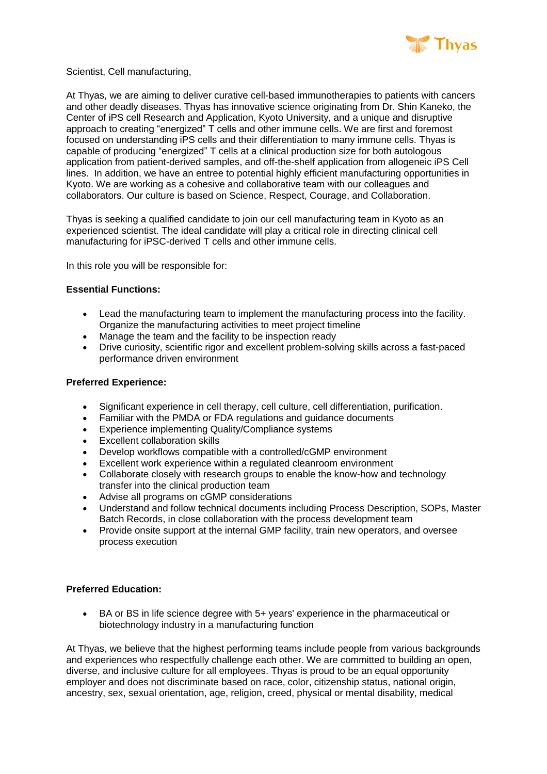

Scientist, Cell manufacturing,

At Thyas, we are aiming to deliver curative cell-based immunotherapies to patients with cancers and other deadly diseases. Thyas has innovative science originating from Dr. Shin Kaneko, the Center of iPS cell Research and Application, Kyoto University, and a unique and disruptive approach to creating "energized" T cells and other immune cells. We are first and foremost focused on understanding iPS cells and their differentiation to many immune cells. Thyas is capable of producing "energized" T cells at a clinical production size for both autologous application from patient-derived samples, and off-the-shelf application from allogeneic iPS Cell lines. In addition, we have an entree to potential highly efficient manufacturing opportunities in Kyoto. We are working as a cohesive and collaborative team with our colleagues and collaborators. Our culture is based on Science, Respect, Courage, and Collaboration.

Thyas is seeking a qualified candidate to join our cell manufacturing team in Kyoto as an experienced scientist. The ideal candidate will play a critical role in directing clinical cell manufacturing for iPSC-derived T cells and other immune cells.

In this role you will be responsible for:

## **Essential Functions:**

- Lead the manufacturing team to implement the manufacturing process into the facility. Organize the manufacturing activities to meet project timeline
- Manage the team and the facility to be inspection ready
- Drive curiosity, scientific rigor and excellent problem-solving skills across a fast-paced performance driven environment

## **Preferred Experience:**

- Significant experience in cell therapy, cell culture, cell differentiation, purification.<br>• Familiar with the PMDA or FDA requiations and quidance documents
- Familiar with the PMDA or FDA regulations and guidance documents
- Experience implementing Quality/Compliance systems
- Excellent collaboration skills
- Develop workflows compatible with a controlled/cGMP environment
- Excellent work experience within a regulated cleanroom environment
- Collaborate closely with research groups to enable the know-how and technology transfer into the clinical production team
- Advise all programs on cGMP considerations
- Understand and follow technical documents including Process Description, SOPs, Master Batch Records, in close collaboration with the process development team
- Provide onsite support at the internal GMP facility, train new operators, and oversee process execution

## **Preferred Education:**

 BA or BS in life science degree with 5+ years' experience in the pharmaceutical or biotechnology industry in a manufacturing function

At Thyas, we believe that the highest performing teams include people from various backgrounds and experiences who respectfully challenge each other. We are committed to building an open, diverse, and inclusive culture for all employees. Thyas is proud to be an equal opportunity employer and does not discriminate based on race, color, citizenship status, national origin, ancestry, sex, sexual orientation, age, religion, creed, physical or mental disability, medical